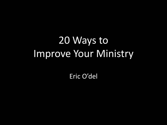# 20 Ways to Improve Your Ministry

Eric O'del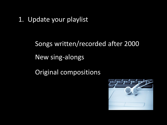1. Update your playlist

Songs written/recorded after 2000 New sing-alongs

Original compositions

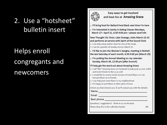### 2. Use a "hotsheet" bulletin insert

### Helps enroll congregants and newcomers



Easy ways to get involved and have fun at Amazing Grace

- D I'll bring food for Ballard Food Bank next time I'm here
- n I'm interested in Sanity in Eating Classes Mondays, March 17-April 21, 6:30-9:00 pm-please send info

New Thought CSL Choir, Lake Oswego, visits March 22-23 and performs at service with Spirit of the Sound Choir

- I can help setup and/or clean for one of the meals
- I can be a greeter at Sunday service, March 23

□ I'd like to join the Women's Sangha, meeting in Bothell the last Saturday of each month, 6:30-9:00 pm (March 29)

□ I'm putting the Annual Meeting on my calendar: Sunday, March 30, 12:30 pm (after brunch)

#### I'll help get the word out about Amazing Grace

- □ I will "like" Amazing Grace on Facebook to help push us over 1,000 and invite friends to like us as well
- □ I would like to receive email versions of event flyers so I can forward them on to friends
- I can help post event flyers in my neighborhood
- □ I'm happy to post flyers in other parts of town

(Check any that interest you & we'll contact you with the details) 

Questions / suggestions? Write to us on the back.

Please drop this in the collection basket.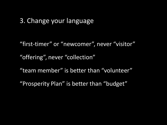3. Change your language

"first-timer" or "newcomer", never "visitor"

"offering", never "collection"

"team member" is better than "volunteer"

"Prosperity Plan" is better than "budget"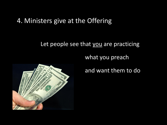#### 4. Ministers give at the Offering

#### Let people see that you are practicing

what you preach



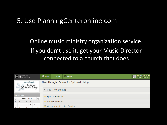#### 5. Use PlanningCenteronline.com

### Online music ministry organization service. If you don't use it, get your Music Director connected to a church that does

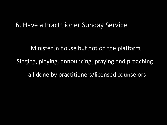#### 6. Have a Practitioner Sunday Service

Minister in house but not on the platform Singing, playing, announcing, praying and preaching all done by practitioners/licensed counselors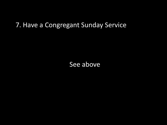#### 7. Have a Congregant Sunday Service

See above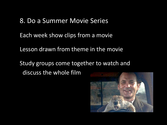#### 8. Do a Summer Movie Series

Each week show clips from a movie

Lesson drawn from theme in the movie

Study groups come together to watch and discuss the whole film

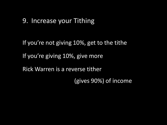#### 9. Increase your Tithing

If you're not giving 10%, get to the tithe If you're giving 10%, give more Rick Warren is a reverse tither (gives 90%) of income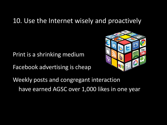#### 10. Use the Internet wisely and proactively

Print is a shrinking medium

Facebook advertising is cheap



Weekly posts and congregant interaction have earned AGSC over 1,000 likes in one year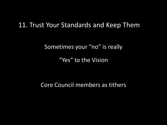#### 11. Trust Your Standards and Keep Them

Sometimes your "no" is really

"Yes" to the Vision

Core Council members as tithers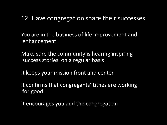#### 12. Have congregation share their successes

You are in the business of life improvement and enhancement

Make sure the community is hearing inspiring success stories on a regular basis

It keeps your mission front and center

It confirms that congregants' tithes are working for good

It encourages you and the congregation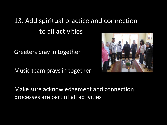### 13. Add spiritual practice and connection to all activities

Greeters pray in together

Music team prays in together



Make sure acknowledgement and connection processes are part of all activities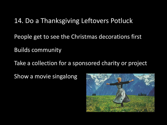#### 14. Do a Thanksgiving Leftovers Potluck

People get to see the Christmas decorations first

Builds community

Take a collection for a sponsored charity or project

Show a movie singalong

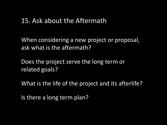#### 15. Ask about the Aftermath

When considering a new project or proposal, ask what is the aftermath?

Does the project serve the long term or related goals?

What is the life of the project and its afterlife?

Is there a long term plan?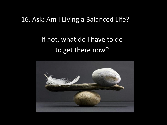#### 16. Ask: Am I Living a Balanced Life?

### If not, what do I have to do to get there now?

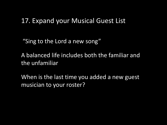#### 17. Expand your Musical Guest List

"Sing to the Lord a new song"

A balanced life includes both the familiar and the unfamiliar

When is the last time you added a new guest musician to your roster?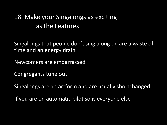### 18. Make your Singalongs as exciting as the Features

Singalongs that people don't sing along on are a waste of time and an energy drain

Newcomers are embarrassed

Congregants tune out

Singalongs are an artform and are usually shortchanged

If you are on automatic pilot so is everyone else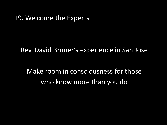#### 19. Welcome the Experts

Rev. David Bruner's experience in San Jose

Make room in consciousness for those who know more than you do